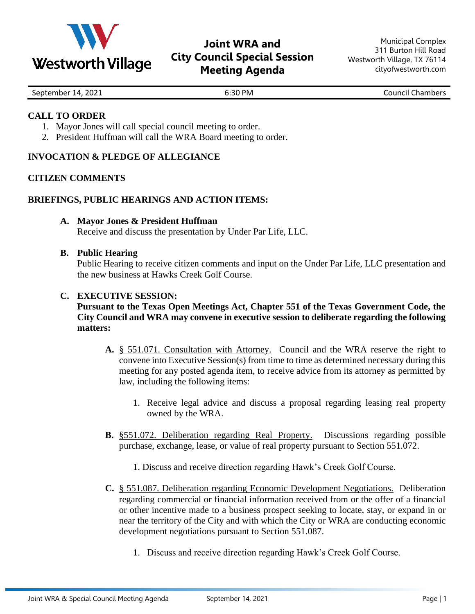

# **Joint WRA and City Council Special Session Meeting Agenda**

| 2021<br>September<br>14.<br>_____ | :30 PM<br>6:30 I<br>. | Chambers<br>Council 1 |
|-----------------------------------|-----------------------|-----------------------|

#### **CALL TO ORDER**

- 1. Mayor Jones will call special council meeting to order.
- 2. President Huffman will call the WRA Board meeting to order.

# **INVOCATION & PLEDGE OF ALLEGIANCE**

# **CITIZEN COMMENTS**

#### **BRIEFINGS, PUBLIC HEARINGS AND ACTION ITEMS:**

- **A. Mayor Jones & President Huffman** Receive and discuss the presentation by Under Par Life, LLC.
- **B. Public Hearing**

Public Hearing to receive citizen comments and input on the Under Par Life, LLC presentation and the new business at Hawks Creek Golf Course.

#### **C. EXECUTIVE SESSION:**

# **Pursuant to the Texas Open Meetings Act, Chapter 551 of the Texas Government Code, the City Council and WRA may convene in executive session to deliberate regarding the following matters:**

- **A.** § 551.071. Consultation with Attorney. Council and the WRA reserve the right to convene into Executive Session(s) from time to time as determined necessary during this meeting for any posted agenda item, to receive advice from its attorney as permitted by law, including the following items:
	- 1. Receive legal advice and discuss a proposal regarding leasing real property owned by the WRA.
- **B.** §551.072. Deliberation regarding Real Property. Discussions regarding possible purchase, exchange, lease, or value of real property pursuant to Section 551.072.
	- 1. Discuss and receive direction regarding Hawk's Creek Golf Course.
- **C.** § 551.087. Deliberation regarding Economic Development Negotiations. Deliberation regarding commercial or financial information received from or the offer of a financial or other incentive made to a business prospect seeking to locate, stay, or expand in or near the territory of the City and with which the City or WRA are conducting economic development negotiations pursuant to Section 551.087.
	- 1. Discuss and receive direction regarding Hawk's Creek Golf Course.